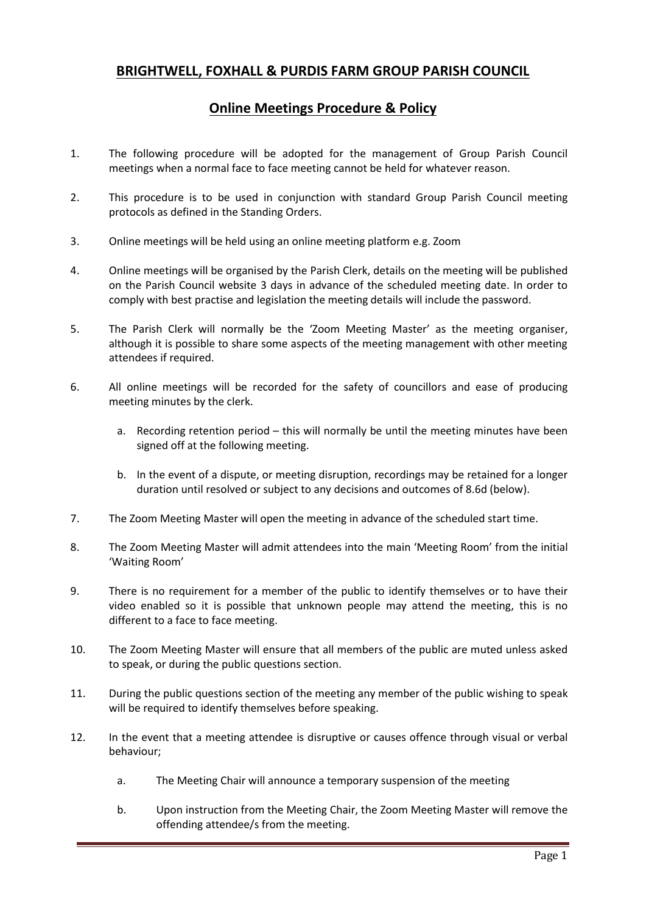## **BRIGHTWELL, FOXHALL & PURDIS FARM GROUP PARISH COUNCIL**

## **Online Meetings Procedure & Policy**

- 1. The following procedure will be adopted for the management of Group Parish Council meetings when a normal face to face meeting cannot be held for whatever reason.
- 2. This procedure is to be used in conjunction with standard Group Parish Council meeting protocols as defined in the Standing Orders.
- 3. Online meetings will be held using an online meeting platform e.g. Zoom
- 4. Online meetings will be organised by the Parish Clerk, details on the meeting will be published on the Parish Council website 3 days in advance of the scheduled meeting date. In order to comply with best practise and legislation the meeting details will include the password.
- 5. The Parish Clerk will normally be the 'Zoom Meeting Master' as the meeting organiser, although it is possible to share some aspects of the meeting management with other meeting attendees if required.
- 6. All online meetings will be recorded for the safety of councillors and ease of producing meeting minutes by the clerk.
	- a. Recording retention period this will normally be until the meeting minutes have been signed off at the following meeting.
	- b. In the event of a dispute, or meeting disruption, recordings may be retained for a longer duration until resolved or subject to any decisions and outcomes of 8.6d (below).
- 7. The Zoom Meeting Master will open the meeting in advance of the scheduled start time.
- 8. The Zoom Meeting Master will admit attendees into the main 'Meeting Room' from the initial 'Waiting Room'
- 9. There is no requirement for a member of the public to identify themselves or to have their video enabled so it is possible that unknown people may attend the meeting, this is no different to a face to face meeting.
- 10. The Zoom Meeting Master will ensure that all members of the public are muted unless asked to speak, or during the public questions section.
- 11. During the public questions section of the meeting any member of the public wishing to speak will be required to identify themselves before speaking.
- 12. In the event that a meeting attendee is disruptive or causes offence through visual or verbal behaviour;
	- a. The Meeting Chair will announce a temporary suspension of the meeting
	- b. Upon instruction from the Meeting Chair, the Zoom Meeting Master will remove the offending attendee/s from the meeting.